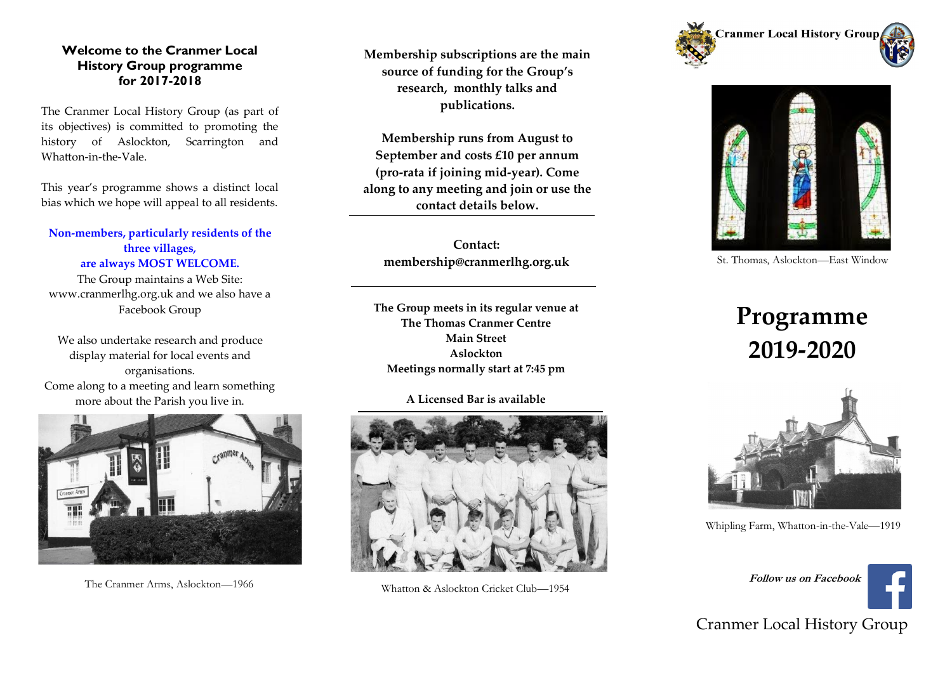### **Welcome to the Cranmer Local History Group programme for 2017-2018**

The Cranmer Local History Group (as part of its objectives) is committed to promoting the history of Aslockton, Scarrington and Whatton-in-the-Vale.

This year's programme shows a distinct local bias which we hope will appeal to all residents.

**Non-members, particularly residents of the three villages, are always MOST WELCOME.**

The Group maintains a Web Site: www.cranmerlhg.org.uk and we also have a Facebook Group

We also undertake research and produce display material for local events and organisations. Come along to a meeting and learn something more about the Parish you live in.



**Membership subscriptions are the main source of funding for the Group's research, monthly talks and publications.**

**Membership runs from August to September and costs £10 per annum (pro-rata if joining mid-year). Come along to any meeting and join or use the contact details below.**

**Contact: membership@cranmerlhg.org.uk**

**The Group meets in its regular venue at The Thomas Cranmer Centre Main Street Aslockton Meetings normally start at 7:45 pm**

#### **A Licensed Bar is available**







St. Thomas, Aslockton—East Window

# **Programme 2019-2020**



Whipling Farm, Whatton-in-the-Vale—1919



### Cranmer Local History Group